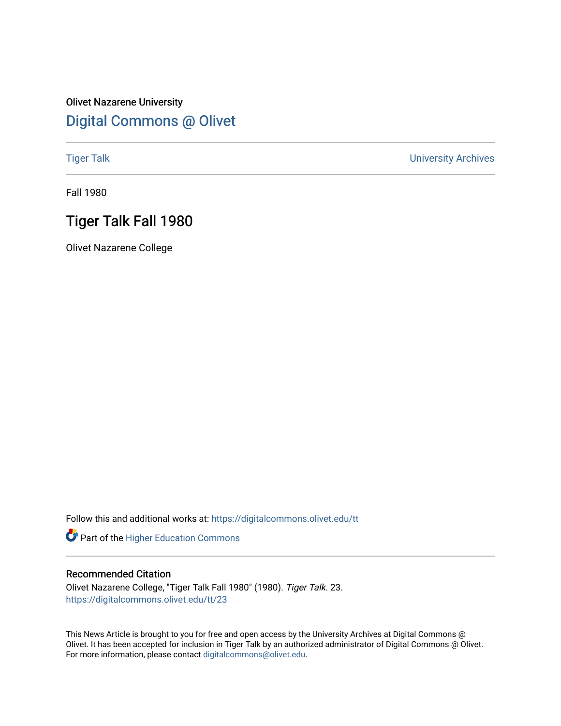### Olivet Nazarene University [Digital Commons @ Olivet](https://digitalcommons.olivet.edu/)

[Tiger Talk](https://digitalcommons.olivet.edu/tt) [University Archives](https://digitalcommons.olivet.edu/arch) 

Fall 1980

### Tiger Talk Fall 1980

Olivet Nazarene College

Follow this and additional works at: [https://digitalcommons.olivet.edu/tt](https://digitalcommons.olivet.edu/tt?utm_source=digitalcommons.olivet.edu%2Ftt%2F23&utm_medium=PDF&utm_campaign=PDFCoverPages) 

Part of the [Higher Education Commons](http://network.bepress.com/hgg/discipline/1245?utm_source=digitalcommons.olivet.edu%2Ftt%2F23&utm_medium=PDF&utm_campaign=PDFCoverPages) 

#### Recommended Citation

Olivet Nazarene College, "Tiger Talk Fall 1980" (1980). Tiger Talk. 23. [https://digitalcommons.olivet.edu/tt/23](https://digitalcommons.olivet.edu/tt/23?utm_source=digitalcommons.olivet.edu%2Ftt%2F23&utm_medium=PDF&utm_campaign=PDFCoverPages)

This News Article is brought to you for free and open access by the University Archives at Digital Commons @ Olivet. It has been accepted for inclusion in Tiger Talk by an authorized administrator of Digital Commons @ Olivet. For more information, please contact [digitalcommons@olivet.edu](mailto:digitalcommons@olivet.edu).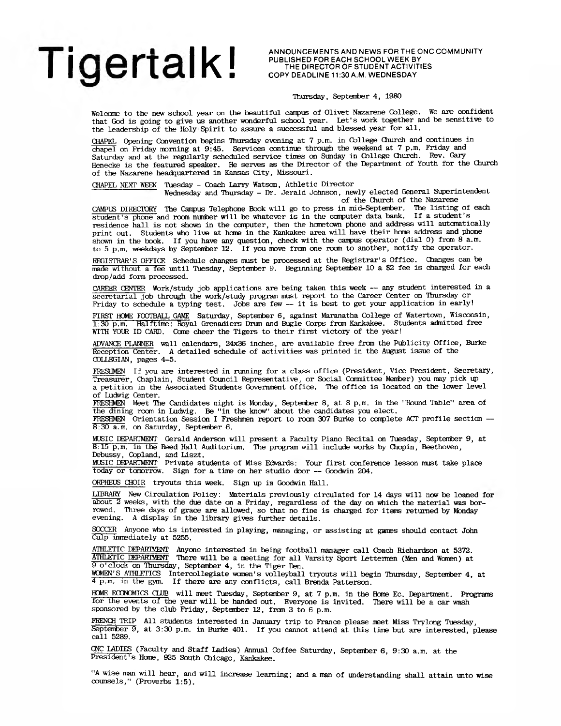### $\blacksquare$   $\cap$   $\bigcap$   $\bigcap$   $\uparrow$   $\uparrow$   $\uparrow$   $\bigcap$   $\bigcap$   $\bigcap$   $\bigcap$   $\bigcap$   $\bigcap$   $\bigcap$   $\bigcap$   $\bigcap$   $\bigcap$   $\bigcap$   $\bigcap$   $\bigcap$   $\bigcap$   $\bigcap$   $\bigcap$   $\bigcap$   $\bigcap$   $\bigcap$   $\bigcap$   $\bigcap$   $\bigcap$   $\bigcap$   $\bigcap$   $\bigcap$   $\bigcap$   $\bigcap$   $\bigcap$   $\bigcap$   $\bigcap$ **I I U I U I L I I I I I E** COPY DEADLINE 11:30 A.M. WEDNESDA

**ANNOUNCEMENTS AND NEWS FOR THE ONC COMMUNITY<br>PUBLISHED FOR EACH SCHOOL WEEK BY<br>THE DIRECTOR OF STUDENT ACTIVITIES** 

#### Thursday, September 4, 1980

Welcome to the new school year on the beautiful campus of Olivet Nazarene College. We are confident that God is going to give us another wonderful school year. Let's work together and be sensitive to the leadership of the Holy Spirit to assure a successful and blessed year for all.

CHAPEL Opening Convention begins Thursday evening at 7 p.m. in College Church and continues in chapel on Friday morning at 9:45. Services continue through the weekend at 7 p.m. Friday and Saturday and at the regularly scheduled service times on Sunday in College Church. Rev. Gary Henecke is the featured speaker. He serves as the Director of the Department of Youth for the Church of the Nazarene headquartered in Kansas City, Missouri.

CHAPEL NEXT WEKK Tuesday - Coach Larry Watson, Athletic Director

Wednesday and Thursday - Dr. Jerald Johnson, newly elected General Superintendent of the Church of the Nazarene

CAMPUS DIRECTORY The Campus Telephone Book will go to press in mid-September. The listing of each student's phone and roan mmber will be whatever is in the computer data bank. If a student's residence hall is not shown in the computer, then the hometown phone and address will automatically print out. Students who live at home in the Kankakee area will have their home address and phone shown in the book. If you have any question, check with the campus operator (dial 0) from 8 a.m. to 5 p.m. weekdays by September 12. If you move fran one roan to another, notify the operator.

REGISTRAR'S OFFICE Schedule changes must be processed at the Registrar's Office. Changes can be made without a fee until Tuesday, September 9. Beginning Septenber 10 a \$2 fee is charged for each drop/add form processed.

CAREER CENTER Work/study job applications are being taken this week — any student interested in a secretarial job through the work/study program must report to the Career Center on Thursday or Friday to schedule a typing test. Jobs are few — it is best to get your application in early!

FIRST HOME FOOTBALL GAME Saturday, September 6, against Maranatha College of Watertown, Wisconsin, 1:30 p.m. Halftime: Royal Grenadiers Drun and Bugle Corps from Kankakee. Students admtted free WITH YOUR ID CARD. Come cheer the Tigers to their first victory of the year!

ADVANCE PLANNER wall calendars, 24x36 inches, are available free frcm the Publicity Office, Burke Reception Center. A detailed schedule of activities was printed in the August issue of the COLLEGIAN, pages 4-5.

FRESHMEN If you are interested in running for a class office (President, Vice President, Secretary, Treasurer, Chaplain, Student Council Representative, or Social Committee Member) you may pick up a petition in the Associated Students Government office. The office is located on the lower level of Ludwig Center.

THESHMEN Meet The Candidates night is Monday, Septenber 8, at 8 p.m. in the "Round Table" area of the dining roan in Ludwig. Be "in the know" about the candidates you elect. FRESHMEN Orientation Session I Freshmen report to room 307 Burke to ccnplete ACT profile section —

8:30 a.m. on Saturday, September 6.

MUSIC DEPARTMENT Gerald Anderson will present a Faculty Piano Recital on Tuesday, September 9, at 8:15 p.m. in the Reed Hall Auditorium. The program will include works by Chopin, Beethoven, Debussy, Copland, and Liszt.

MUSIC DEPARTMENT Private students of Miss Edwards: Your first conference lesson must take place today or tomorrow. Sign for a time on her studio door — Goodwin 204.

ORPHEUS CHOIR tryouts this week. Sign up in Goodwin Hall.

LIBRARY New Circulation Policy: Materials previously circulated for 14 days will now be loaned for about 2 weeks, with the due date on a Friday, regardless of the day on which the material was borrowed. Three days of grace are allowed, so that no fine is charged for items returned by Monday evening. A display in the library gives further details. A display in the library gives further details.

SOCCER Anyone who is interested in playing, managing, or assisting at games should contact John Culp inmediately at 5255.

ATHLETIC DEPARTMENT Anyone interested in being football manager call Coach Richardson at 5372. ATHLETIC DEPARTMENT There will be a meeting for all Varsity Sport Lettermen (Men and Women) at 9 o'clock on Thursday, September 4, in the Tiger Den. WOMEN'S ATHLETICS Intercollegiate women's volleyball tryouts will begin Thursday, September 4, at

4 p.m. in the gym. If there are any conflicts, call Brenda Patterson.

HOME ECONOMICS CLUB will meet Tuesday, September 9, at 7 p.m. in the Home Ec. Department. Programs for the events of the year will be handed out. Everyone is invited. There will be a car wash sponsored by the club Friday, September 12, from 3 to 6 p.m.

FRENCH TRIP All students interested in January trip to France please meet Miss Trylong Tuesday, Septenber 9, at 3:30 p.m. in Burke 401. If you cannot attend at this time but are interested, please call 5289.

CMC LADIES (Faculty and Staff ladies) Annual Coffee Saturday, Septenber 6, 9:30 a.m. at the President's Home, 925 South Chicago, Kankakee.

"A wise man will hear, and will increase learning; and a man of understanding shall attain unto wise counsels," (Proverbs 1:5).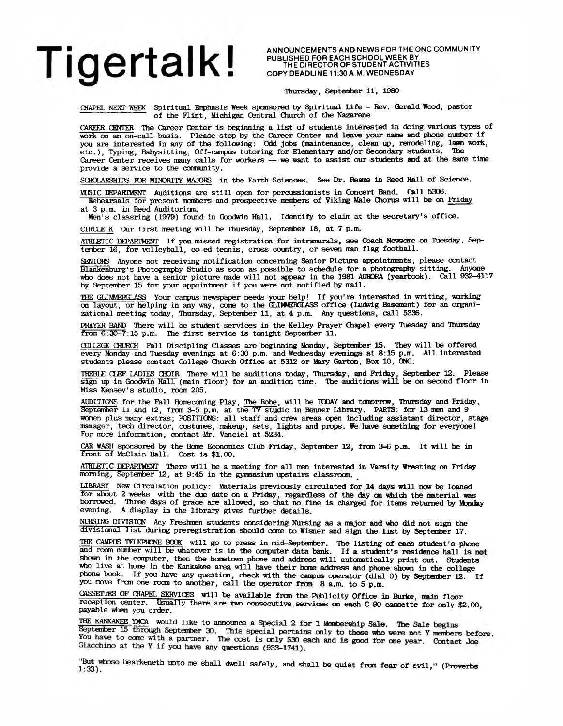ANNOUNCEMENTS AND NEWS FOR THE ONC COMMUNITY **P U B L IS H E D F O R E A C H S C H O O L W E E K BY T H E D IR E C T O R O F S T U D E N T A C T IV IT IE S C O P Y D E A D L IN E 11:30 A .M . W E D N E S D A Y**

#### Thursday, September 11, 1980

CHAPEL NEXT WEEK Spiritual Emphasis Week sponsored by Spiritual Life - Rev. Gerald Wood, pastor of the Flint, Michigan Central Church of the Nazarene

CAREER CENTER The Career Center is beginning a list of students interested in doing various types of work on an on-call basis. Please stop by the Career Center and leave your name and phone nurfoer if you are interested in any of the following: Odd jobs (maintenance, clean up, remodeling, lawn work, etc.), Typing, Babysitting, Off-canpus tutoring for Elementary and/or Secondary students. The Career Center receives many calls for workers — we want to assist our students and at the same time provide a service to the cormunity.

SCHOLARSHIPS FOR MINORITY MAJORS in the Earth Sciences. See Dr. Reams in Reed Hall of Science.

MUSIC DEPARTMENT Auditions are still open for percussionists in Concert Band. Call 5306. Rehearsals for present members and prospective members of Viking Male Chorus will be on Friday at 3 p.m. in Reed Auditorium.

Men's classring (1979) found in Goodwin Hall. Identify to claim at the secretary's office.

CIRCLE K Our first meeting will be Thursday, September 18, at 7 p.m.

ATHLETIC DEPARTMENT If you missed registration for intramurals, see Coach Newsome on Tuesday, Septenber 16, for volleyball, co-ed tennis, cross country, or seven man flag football.

SENIORS Anyone not receiving notification concerning Senior Picture appointments, please contact Slankenburg's Photography Studio as soon as possible to schedule for a photography sitting. Anyone who does not have a senior picture made will not appear in the 1981 AURORA (yearbook). Call 932-4117 by September 15 for your appointment if you were not notified by mall.

THE GLIMMERGLASS Your campus newspaper needs your help! If you're interested in writing, working on layout, or helping in any way, come to the GLIMMERGLASS office (Ludwig Basement) for an organizational meeting today, Thursday, September 11, at 4 p.m. Any questions, Call 5336.

PRAYER BAND There will be student services in the Kelley Prayer Chapel every Tuesday and Thursday from 6:30-7:15 p.m. The first service is tonight September 11.

OOTIF.GE CHURCH Fall Discipling Classes are beginning Monday, Septenber 15. They will be offered every Monday and Tuesday evenings at 6:30 p.m. and Wednesday evenings at 8:15 p.m. All interested students please contact College Church Office at 5312 or Mary Garten, Box 10, CNC.

TREBLE CLEF LADIES CHOIR There will be auditions today, Thursday, and Friday, Septenber 12. Please  $sign$  up in Goodwin Hall (main floor) for an audition time. The auditions will be on second floor in Miss Kensey's studio, rocm 205.

AUDITIONS for the Fall Honecaning Play, The Robe, will be TODAY and tanorrow, Thursday and Friday, September 11 and 12, from 3-5 p.m. at the TV studio in Benner Library. PARTS: for 13 men and 9 women plus many extras; POSITIONS: all staff and crew areas open including assistant director, stage manager, tech director, costumes, makeup, sets, lights and props. We have something for everyone! For more information, contact Mr. Vanciel at 5234.

CAR WASH sponsored by the Hone Economics Club Friday, Septenber 12, from 3-6 p.m. It will be in front of McClain Hall. Cost is \$1.00.

ATHLETIC DEPARTMENT There will be a meeting for all men interested in Varsity Wresting cm Friday morning, September 12, at 9:45 in the gymnasium upstairs classroom.

LIBRARY New Circulation policy: Materials previously circulated for 14 days will now be loaned for about 2 weeks, with the due date cm a Friday, regardless of the day **cm** which the material was borrowed. Three days of grace are allowed, so that no fine is charged for items returned by Monday evening. A display in the library gives further details.

NURSING DIVISICH Any Freshmen students considering Nursing as a major and who did not sign the divisional list during preregistration should come to Wisner and sign the list by Septenber 17.

THE CAMPUS TELEPHONE BOOK will go to press in mid-September. The listing of each student's phone and room number will be whatever is in the computer data bank. If a student's residence hall is not shown in the computer, then the hometown phone and address will automatically print out. Students who live at hone in the Kankakee area will have their heme address and phone shown in the college phone book. If you have any question, check with the canpus operator (dial 0) by Septenber 12. If you move from one room to another, call the operator from 8 a.m. to 5 p.m.

CASSETikS OF CHAPEL SERVICES will be available frcm the Publicity Office in Burke, main floor reception center. Usually there are two consecutive services on each C-90 cassette for only \$2.00, payable when you order.

THE KANKAKEE YMCA would like to announce a Special 2 for 1 Membership Sale. The Sale begins September 15 through September 30. This special pertains only to those who were not Y members before. You have to come with a part Giacchino at the Y if you have any questions (933-1741).

"But whoso hearkeneth unto me shall dwell safely, and shall be quiet from fear of evil," (Proverbs  $1:33$ ).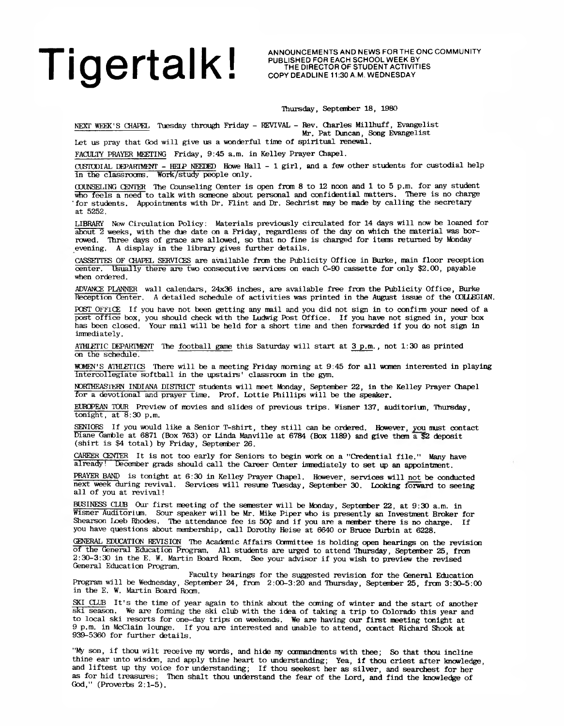# Tigertal K I AnnounceMents and News For The ONC COMMUNITY

**P U B L IS H E D F O R E A C H S C H O O L W E E K BY T H E D IR E C T O R O F S T U D E N T A C T IV IT IE S** COPY DEADLINE 11:30 A.M. WEDNESDAY

Thursday, September 18, 1980

NEXT WEEK'S CHAPEL Tuesday through Friday - REVIVAL - Rev. Charles Millhuff, Evangelist Mr. Pat Duncan, Song Evangelist

Let us pray that God will give us a wonderful time of spiritual renewal.

FACULTY PRAYER MEETING Friday, 9:45 a.m. in Kelley Prayer Chapel.

CUSTODIAL DEPARTMENT - HELP NEEDED Howe Hall - 1 girl, and a few other students for custodial help in the classroans. Work/study people only.

COUNSELING CENTER The Counseling Center is open from 8 to 12 noon and 1 to 5 p.m. for any student who feels a need to talk with someone about personal and confidential matters. There is no charge 'for students. Appointments with Dr. Flint and Dr. Sechrist may be made by calling the secretary at 5252.

LIBRARY New Circulation Policy: Materials previously circulated for 14 days will now be loaned for about 2 weeks, with the due date on a Friday, regardless of the day on which the material was borrowed. Three days of grace are allowed, so that no fine is charged for items returned by Monday evening. A display in the library gives further details.

CASSETTES OF CHAPEL SERVICES are available fran the Publicity Office in Burke, main floor reception center. Usually there are two consecutive services on each C-90 cassette for only \$2.00, payable when ordered.

ADVANCE PLANNER wall calendars, 24x36 inches, are available free fran the Publicity Office, Burke Reception Center. A detailed schedule of activities was printed in the August issue of the COLLEGIAN.

POST OFFICE If you have not been getting any mail and you did not sign in to confirm your need of a post office box, you should check with the Ludwig Post Office. If you have not signed in, your box has been closed. Your mail will be held for a short time and then forwarded if you do not sign in immediately.

ATHLffTIC DEPARTMENT The football game this Saturday will start at 3 p.m., not 1:30 as printed on the schedule.

WOMEN'S ATHLETICS There will be a meeting Friday morning at 9:45 for all women interested in playing intercollegiate softball in the upstairs' classroon in the gym.

NORTHEASTEKN INDIANA DISTRICT students will meet Monday, September 22, in the Kelley Prayer Chapel for a devotional and prayer time. Prof. Lottie Phillips will be the speaker.

EUROPEAN TOUR Preview of movies and slides of previous trips. Wisner 137, auditoriun, Thursday, tonight, at 8:30 p.m.

SENIORS If you would like a Senior T-shirt, they still can be ordered. However, you must contact Diane Gamble at 6871 (Box 763) or Linda Manville at 6784 (Box 1189) and give them a \$2 deposit (shirt is \$4 total) by Friday, September 26.

CAREER CENTER It is not too early for Seniors to begin work on a "Credential file." Many have already! December grads should call the Career Center irnnediately to set up an appointment.

PRAYER BAND is tonight at 6:30 in Kelley Prayer Chapel. However, services will not be conducted next week during revival. Services will resume Tuesday, September 30. Looking forward to seeing all of you at revival!

BUSINESS CLUB Our first meeting of the semester will be Monday, September 22, at 9:30 a.m. in Wisner Auditori un. Sour speaker will be Mr. Mike Piper who is presently an Investment Broker for Shearson Loeb Rhodes. The attendance fee is 50¢ and if you are a member there is no charge. If you have questions about membership, call Dorothy Heise at 6640 or Bruce Durbin at 6228.

GENERAL EDUCATION REVISION The Academic Affairs Gorrmittee is holding open hearings on the revision of the General Education Program. All students are urged to attend Thursday, September 25, fran 2:30-3:30 in the E. W. Martin Board Room. See your advisor if you wish to preview the revised General Education Program.

Faculty hearings for the suggested revision for the General Education Program will be Wednesday, September 24, from 2:00-3:20 and Thursday, September 25, fran 3:30-5:00 in the E. W. Martin Board Rocm.

SKI CLUB It's the time of year again to think about the caning of winter and the start of another ski season. We are foming the ski club with the idea of taking a trip to Colorado this year and to local ski resorts for one-day trips on weekends. We are having our first meeting tonight at 9 p.m. in McClain lounge. If you are interested and unable to attend, contact Richard Shook at 939-5360 for further details.

"My son, if thou wilt receive my words, and hide my commandments with thee; So that thou incline thine ear unto wisdom, and apply thine heart to understanding; Yea, if thou criest after knowledge, and liftest up thy voice for understanding; If thou seekest her as silver, and searchest for her as for hid treasures; Then shalt thou understand the fear of the Lord, and find the knowledge of God," (Proverbs 2:1-5).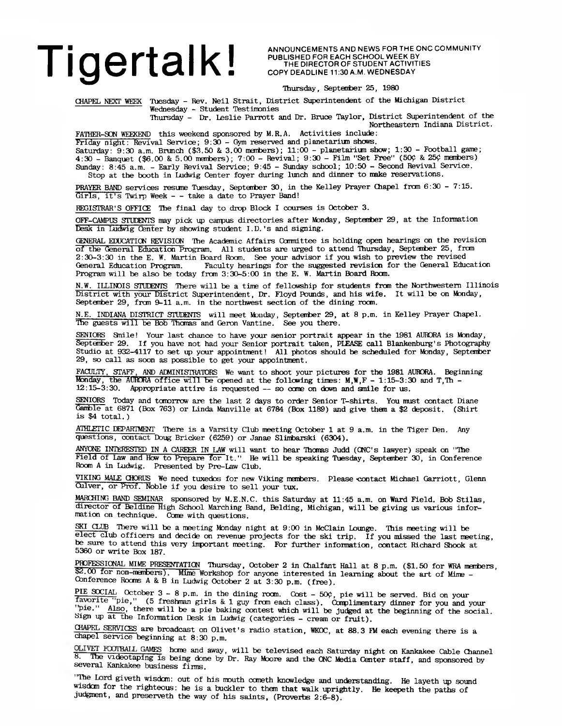### Tige **Proper Struggler A N ANNOUNCE ME AND NEWS FOR THE ONC COMMUNITY**<br>
THE DIRECTOR OF STUDENT ACTIVITIES

**P U B L IS H E D F O R E A C H S C H O O L W E E K BY T H E D IR E C T O R O F S T U D E N T A C T IV IT IE S COPY DEADLINE 11:30 A.M. WEDNESDAY** 

Thursday, Septenber 25, 1980

CHAPEL NEXT WEEK Tuesday - Rev. Neil Strait, District Superintendent of the Michigan District Wednesday - Student Testimonies

Thursday - Dr. Leslie Parrott and Dr. Bruce Taylor, District Superintendent of the Northeastern Indiana District.

FATHER-SON WEEKEND this weekend sponsored by M.R.A. Activities include:

Friday night: Revival Service; 9:30 - Gym reserved and planetarium shows. Saturday:  $9:30$  a.m. Brunch  $(\$3,50$  & 3.00 members);  $11:00$  - planetarium show;  $1:30$  - Football game; 4:30 - Banquet (\$6.00 & 5.00 members); 7:00 - Revival; 9:30 - Film "Set Free" (50¢ & 25¢ members) Sunday: 8:45 a.m. - Early Revival Service; 9:45 - Sunday school; 10:50 - Second Revival Service. Stop at the booth in Ludwig Center foyer during lunch and dinner to make reservations.

PRAYER BAND services resume Tuesday, September 30, in the Kelley Prayer Chapel from 6:30 - 7:15. Girls, it's Twirp Week - - take a date to Prayer Band!

REGISTRAR'S OFFICE The final day to drop Block I courses is October 3.

OFF-CAMPUS STUDENTS may pick 14) campus directories after Monday, September 29, at the Information Desk in Ludwig Center by showing student I.D.'s and signing.

GENERAL EDUCATION REVISION The Academic Affairs Comnittee is holding open hearings cm the revision of the General Education Program. All students are urged to attend Thursday, September 25, frcm 2:30-3:30 in the E. W. Martin Board Room. See your advisor if you wish to preview the revised Faculty hearings for the suggested revision for the General Education Program will be also be today from 3:30-5:00 in the E. W. Martin Board Room.

N.W. ILLINOIS STUDENTS There will be a time of fellowship for students from the Northwestern Illinois District with your District Superintendent, Dr. Floyd Pounds, and his wife. It will be on Monday, September 29, from 9-11 a.m. in the northwest section of the dining room.

N.E. INDIANA DISTRICT STUDENTS will meet Monday, Septenber 29, at 8 p.m. in Kelley Prayer Chapel. The guests will be Bob Thomas and Geron Vantine. See you there.

SENIORS Smile! Your last chance to have your senior portrait appear in the 1981 AURORA is Monday, September 29. If you have not had your Senior portrait taken, PLEASE call Blankenburg's Photography Studio at 932-4117 to set up your appointment! All photos should be scheduled for Monday, September 29, so call as soon as possible to get your appointment.

FACULTY, STAFF, AND ADMINISTRATORS We want to shoot your pictures for the 1981 AURORA. Beginning Monday, the AURORA office will be opened at the following times:  $M, W, F - 1:15-3:30$  and T, Th -12:15-3:30. Appropriate attire is requested — so ccme on down and smile for us.

SENIORS Today and tomorrow are the last 2 days to order Senior T-shirts. You must contact Diane Gamble at 6871 (Box 763) or Linda Manville at 6784 (Box 1189) and give them a \$2 deposit. (Shirt is \$4 total.)

ATHLETIC DEPARTMENT There is a Varsity Club meeting October 1 at 9 a.m. in the Tiger Den. Any questions, contact Doug Bricker (6259) or Janae Slimbarski (6304).

ANYONE INTERESTED IN A CAREER IN LAW will want to hear Thomas Judd (CNC's lawyer) speak on "The Field of Law and Hew to Prepare for It." He will be speaking Tuesday, September 30, in Conference Room A in Ludwig. Presented by Pre-Law Club.

VIKING MALE CHORUS We need tuxedos for new Viking members. Please contact Michael Garriott, Glenn Oliver, or Prof. Noble if you desire to sell your tux.

MARCHING BAND SEMINAR sponsored by M.E.N.C. this Saturday at 11:45 a.m. on Ward Field. Bob Stilas, director of Beldine High School Marching Band, Belding, Michigan, will be giving us various information on technique. Come with questions.

SKI CLUB There will be a meeting Monday night at 9:00 in McClain Lounge. This meeting will be elect club officers and decide on revenue projects for the ski trip. If you missed the last meeting, be sure to attend this very important meeting. For further information, contact Richard Shook at 5360 or write Box 187.

PROFESSIONAL MIME PRESENTATION Thursday, October 2 in Chalfant Hall at 8 p.m. (\$1.50 for WRA menbers, \$2.00 for non-members). Mime Workshop for anyone interested in learning about the art of Mime -Conference Rooms A & B in Ludwig October 2 at 3:30 p.m. (free).

PIE SOCIAL October  $3 - 8$  p.m. in the dining room. Cost -  $50\%$ , pie will be served. Bid on your favorite "pie," (5 freshman girls & 1 guy fran each class). Complimentary dinner for you and your pie." Also, there will be a pie baking contest which will be judged at the beginning of the social. Sign up at the Information Desk in Ludwig (categories - cream or fruit).

CHAPEL SERVICES are broadcast on Olivet's radio station, WK0C, at 88.3 FM each evening there is a chapel service beginning at 8:30 p.m.

GAMES heme and away, will be televised each Saturday night cm Kankakee Cable Channel 8. The videotaping is being done by Dr. Ray Moore and the CNC Media Center staff, and sponsored by several Kankakee business firms.

"The Lord giveth wisdom: out of his mouth cometh knowledge and understanding. He layeth up sound wisdom for the righteous: he is a buckler to them that walk uprightly. He keepeth the paths of judgment, and preserveth the way of his saints, (Proverbs 2:6-8).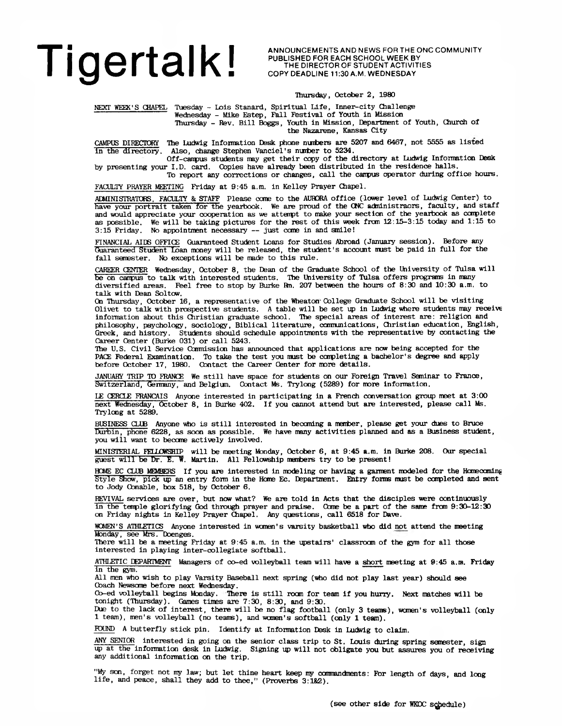# Tigertal KI ANNOUNCEMENTS AND NEWS FOR THE ONC COMMUNITY

PUBLISHED FOR EACH SCHOOL WEEK BY THE DIRECTOR OF STUDENT ACTIVITIES COPY DEADLINE 11:30 A.M. WEDNESDAY

Thursday, October 2, 1980

NEXT WEEK'S CHAPEL Tuesday - Lois Stanard, Spiritual Life, Inner-city Challenge Wednesday - Mike Estep, Fall Festival of Youth in Mission Thursday - Rev. Bill Boggs, Youth in Mission, Department of Youth, Church of

the Nazarene, Kansas City

CAMPUS DIRECTORY The Ludwig Information Desk phone numbers are 5207 and 6467, not 5555 as listed In the directory. Also, change Stephen Vanciel's number to 5234.

Off-canpus students may get their copy of the directory at Ludwig Information Desk by presenting your I.D. card. Copies have already been distributed in the residence halls.

To report any corrections or changes, call the canpus operator during office hours.

FACULTY PRAYER MEKTING Friday at 9:45 a.m. in Kelley Prayer Chapel.

ADMINISTRATORS, FACULTY & STAFF Please cane to the AUBDRA office (lower level of Ludwig Center) to have your portrait taken for the yearbook. We are proud of the CNC administraors, faculty, and staff and would appreciate your cooperation as we attenpt to make your section of the yearbook as corplete as possible. We will be taking pictures for the rest of this week frcm 12:15-3:15 today and 1:15 to 3:15 Friday. No appointment necessary — just cane in and smile!

FINANCIAL AIDS OFFICE Guaranteed Student Loans for Studies Abroad (January session). Before any Guaranteed Student Loan money will be released, the student's account must be paid in full for the fall semester. No exceptions will be made to this rule.

CAREER CENTER Wednesday, October 8, the Dean of the Graduate School of the University of Tulsa will be on campus to talk with interested students. The University of Tulsa offers programs in many diversified areas. Feel free to stop by Burke Rm. 207 between the hours of 8:30 and 10:30 a.m. to talk with Dean Soltcw.

On Thursday, October 16, a representative of the Wheaton'College Graduate School will be visiting Olivet to talk with prospective students. A table will be set up in Ludwig where students may receive information about this Christian graduate school. The special areas of interest are: religion and philosophy, psychology, sociology, Biblical literature, communications, Christian education, English, Greek, and history. Students should schedule appointments with the representative by contacting the Career Center (Burke 031) or call 5243.

The U.S. Civil Service Commission has announced that applications are now being accepted for the PACE Federal Examination. To take the test you must be completing a bachelor's degree and apply before October 17, 1980. Contact the Career Center for more details.

JANUARY TRIP TO FRANCE We still have space for students on our Foreign Travel Seminar to France, Switzerland, Germany, and Belgiun. Contact Ms. Trylong (5289) for more information.

LE CERCLE FRANCAIS Anyone interested in participating in a French conversation group meet at 3:00 next Wednesday, October 8, in Burke 402. If you cannot attend but are interested, please call Ms. Trylong at 5289.

BUSINESS CLUB Anyone who is still interested in becaning a member, please get your dues to Bruce Durbin, phone 6228, as soon as possible. We have many activities planned and as a Business student, you will want to becane actively involved.

MINISTERIAL FELLOWSHIP will be meeting Monday, October 6 , at 9:45 a.m. in Burke 208. Our special guest will be I)r. E. W. Martin. All Fellowship members try to be present!

HOME EC CLUB MEMBERS If you are interested in modeling or having a garment modeled for the Hcmeoaning Style Show, pick up an entry form in the Home Ec. Department. Entry forms must be completed and sent to Jody Conable, box 518, by October 6.

REVIVAL services are over, but now what? We are told in Acts that the disciples were continuously in the tenple glorifying God through prayer and praise. Ccme be a part of the same frcm 9:30-12:30 on Friday nights in Kelley Prayer Chapel. Any questions, call 6518 for Dave.

WOMEN'S ATHLETICS Anyone interested in women's varsity basketball who did not attend the meeting Monday, see Mrs.-Doenges.

There will be a meeting Friday at 9:45 a.m. in the upstairs' classroom of the gym for all those interested in playing inter-collegiate softball.

ATHLETIC DEPARTMENT Managers of co-ed volleyball team will have a short meeting at 9:45 a.m. Friday in the gym.

All men who wish to play Varsity Baseball next spring (who did not play last year) should see Coach Newsome before next Wednesday.

Cb-ed volleyball begins Monday. There is still roan for team if you hurry. Next matches will be tonight (Thursday). Games times are 7:30, 8:30, and 9:30.

Due to the lack of interest, there will be no flag football (only 3 teams), wanen's volleyball (only 1 team), men's volleyball (no teams), and women's softball (only 1 team).

FOUND A butterfly stick pin. Identify at Information Desk in Ludwig to claim.

ANY SENIOR interested in going on the senior class trip to St. Louis during spring semester, sign up at the information desk in Ludwig. Signing 15) will not obligate you but assures you of receiving any additional information on the trip.

"My son, forget not my law; but let thine heart keep my commandments: For length of days, and long life, and peace, shall they add to thee," (Proverbs 3:1&2).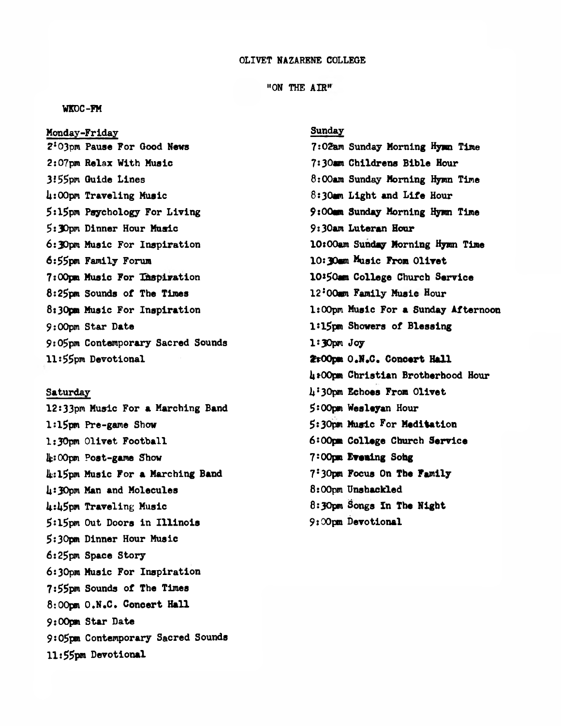#### OLIVET NAZARENE COLLEGE

#### "ON THE **AIR"**

#### **WKDC-FM**

**Monday-Friday 2s03pm Pause For Good News 2:07pm Relax With Music** *31***55pm Guide Lines U:00pm Traveling Music \$sl5pm Psychology For Living 5:30pm Dinner Hour Music 6:30pm Music For Inspiration 6:55pm Family Forum 7:00pm Music For Inspiration 8:25pm Sounds of The Times 8:30pm Music For Inspiration 9:00pm Star Date 9:05pm Contemporary Sacred Sounds 11:55pm Devotional**

**Saturday 12:33pm Music For a Marching Band 1:15pm Pre-game Show 1:30pm Olivet Football Ifc: 00pm Post-game Show li:l5pm Music For a Marching Band U :30pm Man and Molecules U:ii5pm Traveling Music 5:15pm Out Doors in Illinois 5:30pm Dinner Hour Music 6:25pm Space Story 6:30pm Music For Inspiration 7:55pm Sounds of The Times 8:00pm O.N.C. Concert Hall 9:00pm Star Date 9:05pm Contemporary Sacred Sounds 11:55pm Devotional**

#### Sunday

7:02am **Sunday Morning Hy» Time 7:30m Childrens Bible Hour 8:00am Sunday Morning Hymn Time 8:30mm Light and Life Hour 9:00an Sunday Morning Hymn Time 9:30am Luteran Hour 10x00am Sunday Morning Hymn Time 10:30ctn Music From Olivet 10\*50am College Church Service 12:00mn Family Music Hour 1:00pm Music For a Sunday Afternoon 1:15pm Showers of Blessing 1:30pm Joy ftOOpm O.N,C. Concert Hall U\*00pm Christian Brotherhood Hour l\*!30pm Echoes From Olivet 5:00pm Wesleyan Hour 5:30pm Music For Meditation 6:00pm College Church Service 7:00pm Evening Sohg 75 30pm Focus On The Family 8:00pm Unshackled** 8**:**30**pm Songs In The Night 9J00pm Devotional**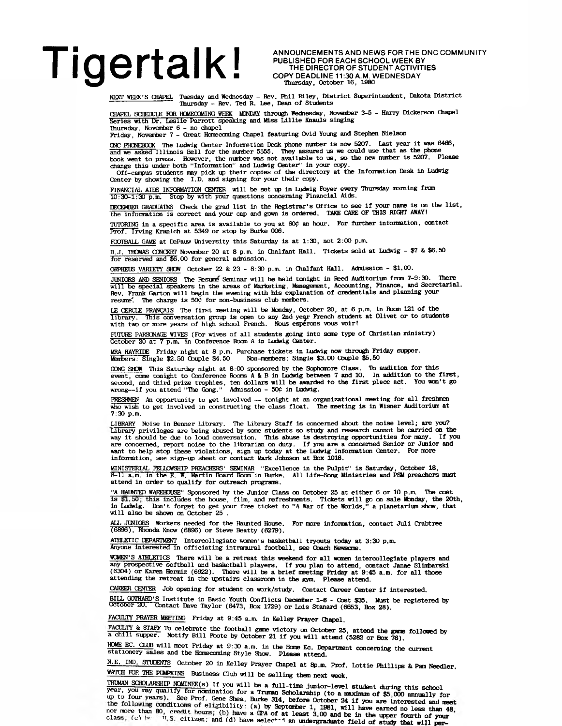# Tige readline 11:30 AMNOUNCEMENTS AND NEWS FOR THE ONC COMMUNITY

PUBLISHED FOR EACH SCHOOL WEEK BY THE DIRECTOR OF STUDENT ACTIVITIES COPY DEADLINE 11:30 A.M. WEDNESDAY **Thursday, October 16, 1980**

NEXT WEEK'S CHAPEL Tuesday and Wednesday - Rev. Phil Riley, District Superintendent, Dakota District Thursday - Rev. Ted R. Lee, Dean of Students

CHAPEL SCHEDULE FOR HOMECOMING WEEK MONDAY through Wednesday, November 3-5 - Harry Dickerson Chapel Series with Dr. Leslie Parrott speaking and Miss Lillie Knauls singing

Thursday, November 6 - no chapel Friday, Novanber 7 - Great Honecoming Chapel featuring Ovid Young and Stephen Nielson

CNC PHONEBOOK The Ludwig Center Information Desk phone number is now 5207. Last year it was 6466,<br>and we asked Illinois Bell for the number 5555. They assured us we could use that as the phone<br>book went to press. However, change this under both "Information" and Ludwig Center" in your copy.

Off-campus students may pick up their copies of the directory at the Information Desk in Ludwig Center by showing the I.D. and signing for your their copy.

FINANCIAL AIDS INFORMATION CENTER will be set up in Ludwig Foyer every Thursday morning from 10:30-1:30 p.m. Stop by with your questions concerning Financial Aids.

IECEMBER GRADUATES Check the grad list in the Registrar's Office to see if your name is on the list,<br>the information is correct and your cap and gown is ordered. TAKE CARE OF THIS RIGHT AWAY!

TUTORING in a specific area is available to you at 60? an hour. For further information, contact Prof. Irving Kranich at 5349 or stop by Burke 006.

FOOTBALL GAME at DePauw University this Saturday is at 1:30, not 2:00 p.m.

B..I. THOMAS CONCERT November 20 at 8 p.m. in Qialfant Hall. Tickets sold at Ludwig - \$7 & \$6.50 for reserved and \$6.00 for general adnission.

ORPHEUS VARIETY SHOW October 22 & 23 - 8:30 p.m. in Chalfant Hall. Admission - \$1.00.

JUNIORS AND SENIORS The Resume Seminar will be held tonight in Reed Auditorium from 7-9:30. There<br>will be special speakers in the areas of Marketing, Management, Accounting, Finance, and Secretarial.<br>Rev. Frank Garton will resume. The charge is 500 for non-business club members.

LE CERCLE FRANÇAIS The first meeting will be Monday, October 20, at 6 p.m. in Room 121 of the library. This conversation group is open to any 2nd year French student at Olivet or to students<br>with two or more years of high school French. Nous esperons vous voir!

FTfTURE PARSCMAGE WIVES (For wives of all students going into seme type of Christian ministry) October 20 at 7 p.m. in Conference Room A in Ludwig Center.

MRA HAYRIDE Friday night at 8 p.m. Purchase tickets in Ludvig now through Friday supper. Members: Single \$2.50 Cbuple \$4.50 Non-meribers: Single \$3.00 Cbuple \$5.50

CONG SHOW This Saturday night at 8:00 sponsored by the Sophomore Class. To audition for this event, come tonight to Conference Rooms A & B in Ludwig between 7 and 10. In addition to the first, second, and third prize troph

FRESHMEN An opportunity to get involved — tonight at an organizational meeting for all freshmen who wish to get involved in constructing the class float. The meeting is in Wisner Auditorivm at 7:30 p.m.

LIBRARY Noise in Benner Library. The Library Staff is concerned about the noise level; are you? Library privileges are being abused by some students so study and research cannot be carried on the way it should be due to loud conversation. This abuse is destroying opportunities for many. If you are concerned, report noise to the librarian on duty. If you are a concerned Senior or Junior and want to help stop these violations, sign up today at the Ludwig Information Center. For more information, see sign-up sheet

MINISTERIAL FELLOWSHIP PREACHERS' SEMINAR ''Excellence in the Pulpit'' is Saturday, October 18,<br>8-11 a.m. In the E. W. Martin Board Room in Burke. All Life-Song Ministries and PSM preachers must<br>attend in order to qualify

"A HAUNTED WAREHOUSE" Sponsored by the Junior Class on October 25 at either 6 or 10 p.m. The cost<br>is \$1,50; this includes the house, film, and refreshments. Tickets will go on sale Monday, the 20th,<br>in Ludwig. Don't forget will also be shewn on October 25 .

ALL JUNIORS Workers needed for the Haunted House. For more information, contact Juli Crabtree (6896), Rhonda Knew (6896) or Steve Beatty (6279).

ATHLETIC l&PAKIMENT Intercollegiate women's basketball tryouts today at 3:30 p.m. Anyone interested in officiating intramural football, see Coach Newscme.

MCMEH'S ATHLETICS There will be a retreat this weekend for all wanen interoollegiate players and any prospective softball and basketball players. If you plan to attend, contact Janae Slimbarski<br>(6304) or Karen Hermiz (6922). There will be a brief meeting Friday at 9:45 a.m. for all those<br>attending the retreat in the u

CAKKER CENTER Job opening for student on work/study. Contact Career Center if interested.

BILL GUIHARD'S Institute in Basic Youth Conflicts December 1-6 - Cost \$35. Must be registered by<br>Uctober 20. Contact Dave Taylor (6473, Box 1729) or Lois Stanard (6653, Box 28).

FACULTY PRAYER MEETING Friday at 9:45 a.m. in Kelley Prayer Chapel.

FACULIT & STAFF To celebrate the football game victory on October 25, attend the game followed by a chili supper. Notify Bill Foote by October 21 if you will attend (5282 or Box 76).

nCME EC. CLUB will meet Friday at 9:30 a.m. in the Home Ec. Department concerning the current<br>stationery sales and the Homecoming Style Show. Please attend.

N.E. IND. STUDENTS October 20 in Kelley Prayer Chapel at 8p.m. Prof. Lottie Phillips & Pam Needler.

WATCH FOR THE PUMPKINS Business Club will be selling them next week.

TRUMAN SCHOLARSHIP NOMINEE(s) If you will be a full-time junior-level student during this school year, you may qualify for nomination for a **Trunan Scholarship (to a maximum of \$5,000 annually for**<br>up to four years). See Prof. Gene Shea, Burke 314, before October 24 if you are interested and mee nor more than 80, credit hours; (b) have a 4PA of at least 3.00 and be in the upper fourth of your<br>class; (c) he = 1, S, citizen; and (d) have selected an undergraduate field of study that will new.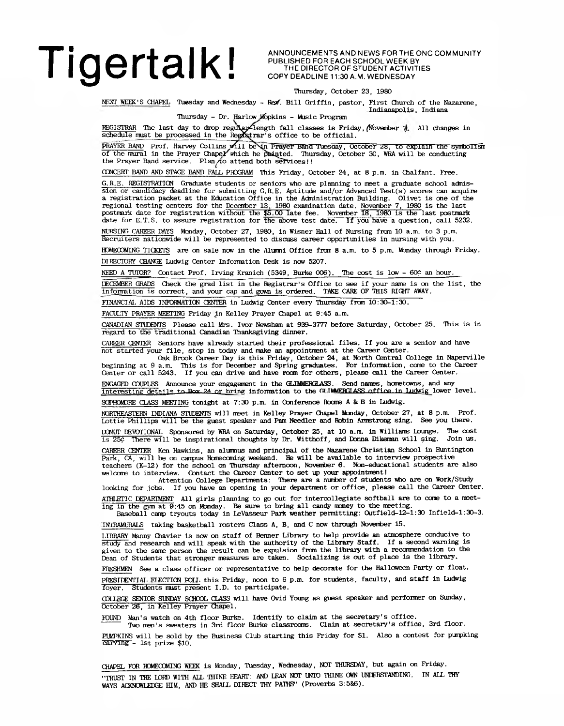ANNOUNCEMENTS AND NEWS FOR THE ONC COMMUNITY PUBLISHED FOR EACH SCHOOL WEEK BY THE DIRECTOR OF STUDENT ACTIVITIES COPY DEADLINE 11:30 A.M. WEDNESDAY

Indianapolis, Indiana

#### Thursday, October 23, 1980

NEXT WEEK'S CHAPEL Tuesday and Wednesday - *B&f.* Bill Griffin, pastor, First Church of the Nazarene,

Thursday - Dr. Harlow Mopkins - Music Program

REGISTRAR The last day to drop regular length fall classes is Friday, (November 7). All changes in<br>schedule must be processed in the Registrar's office to be official.

PRAYER BAND Prof. Harvey Collins will be **No. Prayer Band Tuesday, October 28, to explain the symbolism** of the mural in the Prayer Chape*x* which he peatited. Thursday, October 30, WRA will be conducting of the manal in the ringer band service. Plan<sub>/to</sub> attend both services!!

CONCERT BAND AND STAGE BAND FALL PROGRAM This Friday, October 24, at 8 p.m. in Chalfant. Free.

G.R.E. REGISTRATICN Graduate students or seniors who are planning to meet a graduate school adnission or candidacy deadline for submitting G.R.E. Aptitude and/or Advanced Test(s) scores can acquire a registration packet at the Education Office in the Administration Building. Olivet is one of the regional testing centers for the Decenfaer 13 1980 examination date. Noventoer 7, 1980 is the last postmark date for registration without the  $$5.00$  late fee. November 18, 1980 is the last postmark date for E.T.S. to assure registration for the above test date. If you have a question, call 5232.

NURSING CAREER DAYS Monday, October 27, 1980, in Wisner Hall of Nursing from 10 a.m. to 3 p.m. Recruiters nationwide will be represented to discuss career opportunities in nursing with you.

HOMECOMING TICKETS are on sale now in the Alumni Office from 8 a.m. to 5 p.m. Monday through Friday.

DIRECTORY CHANGE Ludwig Center Information Desk is new 5207.

NEED A TUTOR? Contact Prof. Irving Kranich (5349, Burke 006). The cost is low - 60¢ an hour.

rF.CF.MHER GRADS Check the grad list in the Registrar's Office to see if your name is on the list, the information is correct, and your cap and gewn is ordered. TAKE CARE OF THIS RldfT AWAY.

FINANCIAL AIDS INPDRMATICM CENTER in Ludwig Center every Thursday frcm 10:30-1:30.

FACULTY PRAYER MEETING Friday in Kelley Prayer Chapel at 9:45 a.m.

CANADIAN STUDENTS Please call Mrs. Ivor Newsham at 939-3777 before Saturday, October 25. This is in regard to the traditional Canadian Thanksgiving dinner.

CAREER CENTER Seniors have already started their professional files. If you are a senior and have not started your file, stop in today and make an appointment at the Career Center.

Oak Brook Career Day is this Friday, October 24, at North Central College in Naperville beginning at 9 a.m. This is for Decentoer and Spring graduates. For information, cane to the Career Center or call 5243. If you can drive and have rocoi for others, please call the Career Center.

ENGAGED COUPIES Announce your engagement in the GLIMMERGLASS. Send names, hometowns, and any Interesting details to Box 24 or hring information to the GUIMERGIASS office in Ludwig lower level.

SOPHOMORE CLASS MEETING tonight at 7:30 p.m. in Conference Rooms A & B in Ludwig.

NORTHEASTERN INDIANA STUDEOTS will meet in Kelley Prayer Chapel Monday, October 27, at 8 p.m. Prof. Lottie Phillips will be the guest speaker and Pam Needier and Robin Armstrong sing. See you there.

DCNUT LEWTICNAL Sponsored by WRA on Saturday, October 25, at 10 a.m. in Williams Lounge. The cost is 25£ There will be inspirational thoughts by Dr. Witthoff, and Donna Dikeman will §ing. Join us.

CAREER CENTER Ken Hawkins, an alumnus and principal of the Nazarene Christian School in Huntington Park, CA, will be on canpus Homecoming weekend. He will be available to interview prospective teachers (K-12) for the school on Thursday afternoon, November 6. Non-educational students are also

welcome to interview. Contact the Career Center to set up your appointment! Attention College Departments: There are a mirber of students who are on Work/Study looking for jobs. If you have an opening in your department or office, please call the Career Center.

ATHLETIC DEPARTMENT All girls planning to go out for intercollegiate softball are to come to a meet-

ing in the gym at 9:45 on Monday. Be sure to bring all candy ncney to the meeting. Baseball camp tryouts today in LeVasseur Park weather permitting: 0utfield-12-l:30 Infield-1:30-3.

TNTRAMURALS taking basketball rosters Class A, B, and C now through November 15.

LIBRARY Manny Chavier is now cm staff of Benner Library to help provide an atmosphere conducive to study and research and will speak with the authority of the Library Staff. If a second warning is given to the same person the result can be expulsion from the library with a reccmendation to the Dean of Students that stronger measures are taken. Socializing is out of place is the library.

FRESHMEN See a class officer or representative to help decorate for the Halloween Party or float.

PRESIDENTIAL ELECTION POLL this Friday, noon to 6 p.m. for students, faculty, and staff in Ludwig foyer. Students must present I.D. to participate.

COLLEGE SENIOR SUNDAY SCHOOL CLASS will have Ovid Young as guest speaker and performer on Sunday, October 26, in Kelley Prayer Chapel.

FOUND Man's watch on 4th floor Burke. Identify to claim at the secretary's office.

Two men's sweaters in 3rd floor Burke classrooms. Claim at secretary's office, 3rd floor.

HJMPKINS will be sold by the Business Club starting this Friday for \$1. Also a contest for puipking carving - 1st prize \$10.

CHAPEL FOR HOMECOMING WEEK is Monday, Tuesday, Wednesday, NOT THURSDAY, but again on Friday. "TRUST IN THE LORD WITH ALL THINE HEART: AND LEAN NOT UNTO THINE OWN UNDERSTANDING. IN ALL THY WAYS ACKNOWLEDGE HIM, AND HE SHALL DIRECT THY PATHS" (Proverbs 3:5&6).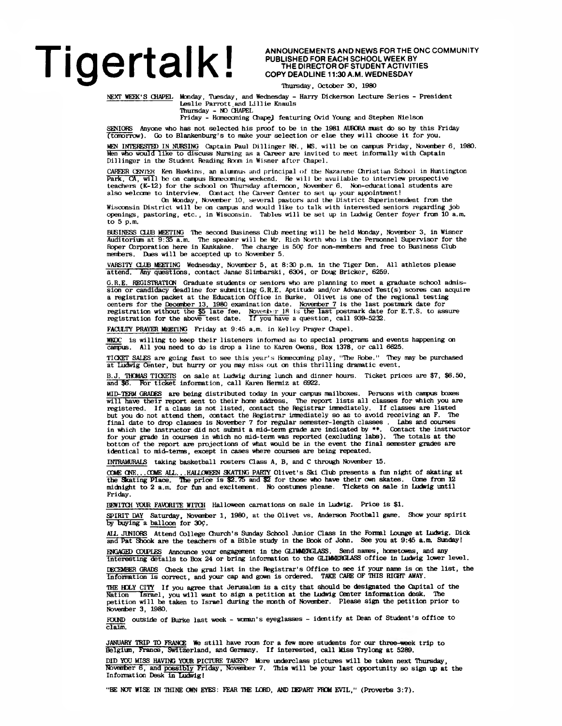### Tigertal K ANNOUNCEMENTS AND NEWS FOR THE ONC COMMUNITY

PUBLISHED FOR EACH SCHOOL WEEK BY THE DIRECTOR OF STUDENT ACTIVITIES COPY DEADLINE 11:30 A.M. WEDNESDAY

Thursday, October 30, 1980

NEXT WEEK'S CHAPEL Monday, Tuesday, and Wednesday - Harry Dickerson Lecture Series - President Leslie Parrott.and Lillie Knauls Thursday - NO CHAPEL

Friday - Hcmecaning ChapeJ featuring Ovid Young and Stephen Nielson

SENIORS Anyone who has not selected his proof to be in the 1981 AURORA must do so by this Friday (tomorrow). Go to Blankenburg's to make your selection or else they will choose it for you.

MEN INTERESTED IN NURSING Captain Paul Dillinger RN., MS. will be on campus Friday, November 6, 1980.<br>Men who would like to discuss Nursing as a Career are invited to meet informally with Captain Dillinger in the Student Reading Room in Wisner after Chapel.

CAREER CENTER Ken Hawkins, an alunnus and principal of the Nazarene Christian School in Huntington Park, CA, will be on campus Homecoming weekend. He will be available to interview prospective teachers (K-12) for the school on Thursday afternoon, November 6. Non-educational students are also welcome to interview. Contact the Career Center to set up your appointment!

On Monday, November 10, several pastors and the District Superintendent from the Wisconsin District will be on campus and would like to talk with interested seniors regarding job openings, pastoring, etc. , in Wisconsin. Tables will be set up in Ludwig Center foyer from 10 a.m. to 5 p.m.

BUSINESS CLUB MEETING The second Business Club meeting will be held Monday, Noventoer 3, in Wisner Auditorian at 9:35 a.m. The speaker will be Mr. Rich North who is the Personnel Supervisor for the Roper Corporation here in Kankakee. The charge is 50? for non-members and free to Business Club members. Dues will be accepted up to Noventoer 5.

VARSITY CLUB MEETING Wednesday, Noventoer 5, at 8:30 p.m. in the Tiger Den. All athletes please attend. Any questions, contact Janae Slintoarski, 6304, or Doug Bricker, 6259.

G.R.E. REGISTRATION Graduate students or seniors who are planning to meet a graduate school adnission or candidacy deadline for submitting G.R.E. Aptitude and/or Advanced Test(s) scores can acquire a registration packet at the Education Office in Burke. Olivet is one of the regional testing<br>centers for the December 13, 1980 examination date. November 7 is the last postmark date for<br>registration without the \$5 late f

FACULTY PRAYER MEETING Friday at 9:45 a.m. in Kelley Prayer Chapel

WKDC is willing to keep their listeners informed as to special programs and events happening on campus. All you need to da is drop a line to Karen Owens, Box 1378, or call 6625.

TICKET SALES are going fast to see this year's Homeccming play, "The Robe." They may be purchased at Ludwig Center, but hurry or you may miss out on this thrilling dramatic event.

THOMAS TICKETS on sale at Ludwig during lunch and dinner hours. Ticket prices are \$7, \$6.50, and \$6. For ticket information, call Karen Hermiz at 6922.

MID-TERM GRADES are being distributed today in your canpus mailboxes. Persons with canpus boxes will have their report sent to their home address. The report lists all classes for which you are registered. If a class is not listed, contact the Registrar immediately. If classes are listed but you do not attend them, contact the Registrar inmediately so as to avoid receiving an F. The final date to drop classes is Noventoer 7 for regular semester-length classes . Labs and courses in which the instructor did not sutmit a mid-term grade are indicated by \*\*. Contact the instructor for your grade in courses in which no mid-term was reported (excluding labs). The totals at the<br>bottom of the report are projections of what would be in the event the final semester grades are identical to mid-terms, except in cases where courses are being repeated.

INIRAMURALS taking basketball rosters Class A, B, and C through November 15.

COME ONE...COME ALL...HALLOWEEN SKATING PARTY Olivet's Ski Club presents a fun night of skating at<br>the Skating Place. The price is \$2.75 and \$2 for those who have their own skates. Come from 12<br>midnight to 2 a.m. for fun a Friday.

BEWITCH YOUR FAVORITE WITCH Halloween carnations on sale in Ludwig. Price is \$1.

SPIRIT DAY Saturday, Noventoer 1, 1980, at the Olivet vs. Anderson Football game. Show your spirit by buying a balloon for  $30<sub>c</sub>$ .

ALL JUNIORS Attend College Church's Sunday School Junior Class in the Formal Lounge at Ludwig. Dick and Pat Shook are the teachers of a Bible study in the Book of John. See you at 9:45 a.m. Sunday!

ENGAGED COUPLES Announce your engagement in the GLIMMERGLASS. Send names, hometowns, and any interesting details to Box 24 or bring information to the GLIMMEBGLASS office in Ludwig lcwer level.

DECEMBER GRADS Check the grad list in the Registrar's Office to see if your name is on the list, the Information is correct, and your cap and gown is ordered. TAKE CARE OF THIS RldfT AWAY.

THE HOLY CITY If you agree that Jerusalam is a city that should be designated the Capital of the Nation Israel, you will want to sign a petition at the Ludwig Center information desk. The<br>petition will be taken to Israel during the month of November. Please sign the petition prior to November 3, 1980.

POUND outside of Burke last week - woman's eyeglasses - identify at Dean of Student's office to claim.

JANUARY TRIP TO PRANCE We still have room for a few more students for our three week trip to Belglun, France, Switzerland, and Germany. If interested, call Miss Trylong at 5289.

DID YOU MISS HAVING YOUR PICIURE TAKEN? More underclass pictures will be taken next Thursday, November 6, and <u>possibly</u> Friday, November 7. This will be your last opportunity so sign up at the Information Desk in Ludwig!

"BE NOT WISE IN THINE OWN EYES: FEAR THE LORD, AND DEPART FROM EVIL," (Proverbs 3:7).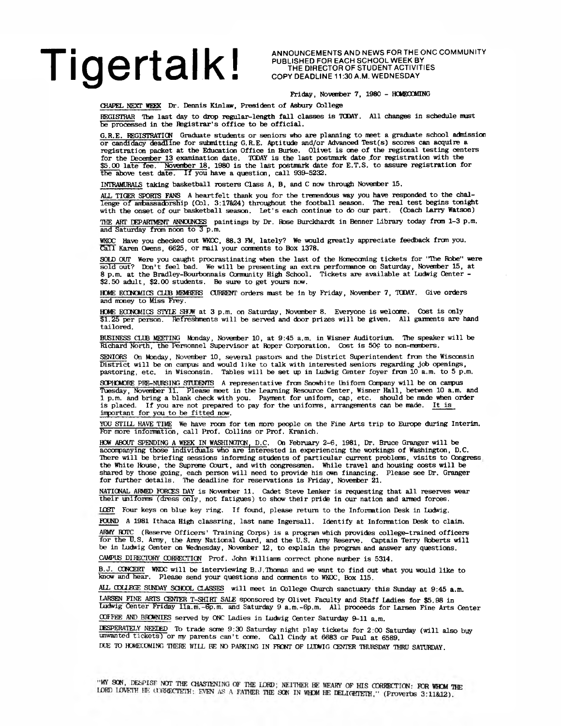# TIGERTALK! ANNOUNCEMENTS AND NEWS FOR THE ONC COMMUNITY

PUBLISHED FOR EACH SCHOOL WEEK BY THE DIRECTOR OF STUDENT ACTIVITIES COPY DEADLINE 11:30 A.M. WEDNESDAY

#### **Friday, November 7, 1980 - HOMECOMING**

CHAPEL NEXT WEEK Dr. Dennis Kinlaw, President of Asbury College

REGISTRAR The last day to drop regular-length fall classes is TODAY. All changes in schedule must be processed in the Registrar's office to be official.

G.R.E. REGISTRATION Graduate students or seniors who are planning to meet a graduate school achdssion or candidacy deadline for submitting G.R.E. Aptitude and/or Advanced Test(s) scores can acquire a registration packet at the Education Office in Burke. Olivet is one of the regional testing centers for the Decenter 13 examination date. TODAY is the last postmark date .for registration with the \$5.00 late fee. November 18, 1980 is the last postmark date for E.T.S. to assure registration for the above test date. If you have a question, call  $939-5232$ .

IffTRAMURALS taking basketball rosters Class A, B, and C now through Noventoer 15.

ALL TIGER SPORTS FANS A heartfelt thank you for the tremendous way you have responded to the challenge of ambassadorship (Col. 3:17&24) throughout the football season. The real test begins tonight with the onset of our basketball season. Let's each continue to do our part. (Coach Larry Watson)

THE ART DEPARTMENT ANNOUNCES paintings by Dr. Rose Burckhardt in Benner Library today from 1-3 p.m. and Saturday from noon to 3 p.m.

WKOC Have you checked out WKOC, 88.3 EM, lately? We would greatly appreciate feedback from you. Call Karen Owens, 6625, or mail your conments to Box 1378.

SOLD OUT Were you caught procrastinating when the last of the Hcmecaning tickets for "The Robe" were sold out? Don't feel bad. We will be presenting an extra performance on Saturday, Noventoer 15, at 8 p.m. at the Bradley-Bourbonnais Gonmunity High School. Tickets are available at Ludvig Center - \$2.50 adult, \$2.00 students. Be sure to get yours now.

HOME ECCNOMICS CLUB MEMBERS CURRENT orders must be in by Friday, November 7, TODAY. Give orders and money to Miss Frey.

HOME ECONOMICS STYLE SHOW at 3 p.m. on Saturday, November 8. Everyone is welcome. Cost is only \$1.25 per person. Refreshments will be served and door prizes will be given. All garments are hand tailored.

BUSINESS CLUB MEETING Monday, November 10, at 9:45 a.m. in Wisner Auditorium. The speaker will be Richard North, the Personnel Supervisor at Roper Corporation. Cost is 50? to non-members.

SENIORS On Monday, November 10, several pastors and the District Superintendent from the Wisconsin District will be on canpus and would like to talk with interested seniors regarding job openings, pastoring, etc. in Wisconsin. Tables will be set up in Ludwig Center foyer frcm 10 a.m. to 5 p.m.

SCPHOMORE PRE-NURSING STUDENTS A representative from Snowhite Uniform Company will be on campus Tuesday, Noventoer 11. Please meet in the Learning Resource Center, Wisner Hall, between 10 a.m. and 1 p.m. and bring a blank check with you. Payment for uniform, cap, etc. should be made when order<br>is placed. If you are not prepared to pay for the uniforms, arrangements can be made. <u>It is</u> inportant for you to be fitted now.

YOU STILL HAVE TIME We have room for ten more people on the Fine Arts trip to Europe during Interim. For more information, call Prof. Collins or Prof. Kranich.

HCW ABOUT SPENDING A WEEK IN WASHINGTON, D.C. On February 2-6, 1981, Dr. Bruce Granger will be accompanying those individuals who are interested in experiencing the workings of Washington, D.C. There will be briefing sessions informing students of particular current problems, visits to Congress, the White House, the Supreme Court, and with congressmen. While travel and housing costs will be shared by those going, each person will need to provide his own financing. Please see Dr. Granger for further details. The deadline for reservations is Friday, November 21.

NATIONAL ARMED FORCES DAY is November 11. Cadet Steve Lenker is requesting that all reserves wear their uniforms (dress only, not fatigues) to show their pride in our nation and armed forces.

IOST Four keys on blue key ring. If found, please return to the Information Desk in Ludwig.

FOUND A 1981 Ithaca High classring, last name Ingersall. Identify at Information Desk to claim.

ARMY BDTC (Reserve Officers' Training Cbrps) is a program which provides college-trained officers for the U.S. Army, the Army National Guard, and the U.S. Amy Reserve. Captain Terry Roberts will be in Ludwig Center on Wednesday, Noventoer 12, to explain the program and answer any questions.

CAMPUS DIRECTORY CORRECTION Prof. John Williams correct phone nurber is 5314.

B.J. OCNCERT WKOC will be interviewing B.J.Thomas and we want to find out what you would like to knew and hear. Please send your questions and ccranents to WKOC, Box 115.

ALL COLLEGE SUNDAY SCHOOL CLASSES will meet in College Church sanctuary this Sunday at 9:45 a.m.

LARSEN FINE ARTS CEOTER T-SHIRT SALE sponsored by Olivet Faculty and Staff Ladies for \$5.98 in

Ludwig Center Friday 11a.m.-6p.m. and Saturday 9 a.m.-6p.m. All proceeds for Larsen Fine Arts Center COEEke; AND BRCWNIES served by ONC Ladies in Ludwig Center Saturday 9-11 a.m.

DESPERATELY NEELED To trade some 9:30 Saturday night play tickets for 2:00 Saturday (will also buy unwanted tickets) or my parents can't come. Call Cindy at 6683 or Paul at 6589.

DUE TO HOMECOMING THERE WILL BE NO PARKING IN FHONT OF LUEWIG CENTER THURSDAY THRU SATURDAY.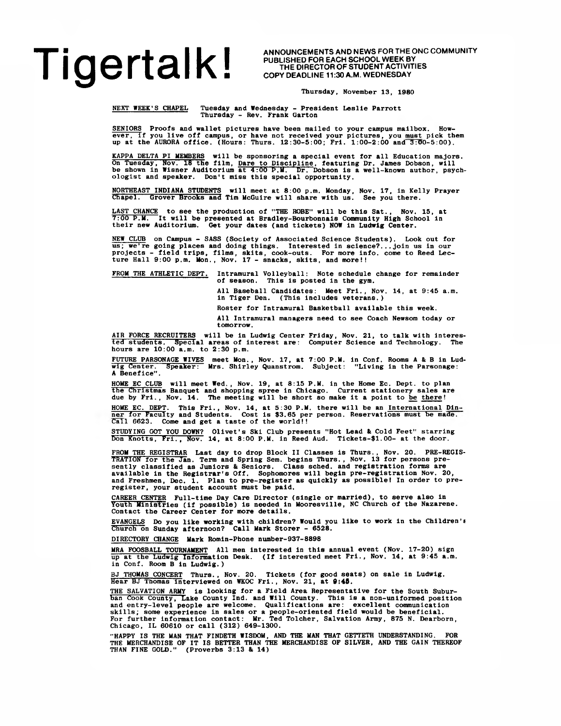# Tigertal kind were and news for the onc Community

PUBLISHED FOR EACH SCHOOL WEEK BY THE DIRECTOR OF STUDENT ACTIVITIES COPY DEADLINE 11:30 A.M. WEDNESDAY

**Thursday, November 13, 1980**

**NEXT WEEK'S CHAPEL Tuesday and Wednesday - President Leslie Parrott Thursday - Rev. Frank Garton**

SENIORS Proofs and wallet pictures have been mailed to your campus mailbox. How-<br>ever, if you live off campus, or have not received your pictures, you must pick them<br>up at the AURORA office. (Hours: Thurs. 12:30-5:00; Fri.

KAPPA DELTA PI MEMBERS will be sponsoring a special event for all Education majors.<br>On Tuesday, Nov. 18 the film, Dare to Discipline, featuring Dr. James Dobson, will<br>be shown in Wisner Auditorium at 4:00 P.M. Dr. Dobson i

**NORTHEAST INDIANA STUDENTS will meet at 8:00 p.m. Monday, Nov. 17, in Kelly Prayer Chapel. Grover Brooks and Tim McGuire will share with us. See you there.**

**LAST CHANCE to see the production of "THE ROBE" will be this Sat., Nov. 15, at 7:00 P.M. It will be presented at Bradley-Bourbonnals Community High School in their new Auditorium. Get your dates (and tickets) NOW in Ludwig Center.**

NEW CLUB on Campus - SASS (Society of Associated Science Students). Look out for<br>us; we're going places and doing things. Interested in science?...join us in our<br>projects - field trips, films, skits, cook-outs. For more in

**FROM THE ATHLETIC DEPT.** Intramural Volleyball: Note schedule change for remainder of season. This is posted in the gym. **of season. This is posted in the gym.**

> **All Baseball Candidates: Meet Fri., Nov. 14, at 9:45 a.m. in Tiger Den. (This includes veterans.)**

**Roster for Intramural Basketball available this week.**

**All Intramural managers need to see Coach Newsom today or tomorrow.**

**AIR FORCE RECRUITERS will be in Ludwig Center Friday, Nov. 21, to talk with interes-ted students. Special areas of interest are: Computer Science and Technology. The hours are 10:00 a.m. to 2:30 p.m.**

**FUTURE PARSONAGE WIVES meet Mon., Nov. 17, at 7:00 P.M. in Conf. Rooms A & B in Lud-wig Center. Speaker: Mrs. Shirley Quanstrom. Subject: "Living in the Parsonage: A Benefice".**

HOME EC CLUB will meet Wed., Nov. 19, at 8:15 P.M. in the Home Ec. Dept. to plan<br>the Christmas Banquet and shopping spree in Chicago. Current stationery sales are<br>due by Fri., Nov. 14. The meeting will be short so make it

**HOME EC. DEPT. This Fri., Nov. 14, at 5:30 P.M. there will be an International Din-ner for Faculty and Students. Cost is \$3.65 per person. Reservations must be made. Call 6623. Come and get a taste of the world!!**

STUDYING GOT YOU DOWN? Olivet's Ski Club presents "Hot Lead & Cold Feet" starring<br>Don Knotts, Fri., Nov. 14, at 8:00 P.M. in Reed Aud. Tickets-\$1.00- at the door.

FROM THE REGISTRAR Last day to drop Block II Classes is Thurs., Nov. 20. PRE-REGIS–<br>TRATION for the Jan. Term and Spring Sem. begins Thurs., Nov. 13 for persons pre-<br>sently classified as Juniors & Seniors. Class sched. and available in the Registrar's Off. Sophomores will begin pre-registration Nov. 20,<br>and Freshmen, Dec. 1. Plan to pre-register as quickly as possible! In order to pre-<br>register, your student account must be paid.

**CAREER CENTER Full-time Day Care Director (single or married), to serve also in Youth Ministries (if possible) is needed in Mooresville, NC Church of the Nazarene. Contact the Career Center for more details.**

**EVANGELS Do you like working with children? Would you like to work in the Children's Church on Sunday afternoon? Call Mark Storer - 6528.**

**DIRECTORY CHANGE Mark Romin-Phone number-937-8898**

**MRA FOOSBALL TOURNAMENT All men interested in this annual event (Nov. 17-20) sign up at the Ludwig Information Desk. (If interested meet Fri., Nov. 14, at 9:45 a.m. in Conf. Room B in Ludwig.)**

BJ THOMAS CONCERT Thurs., Nov. 20. Tickets (for good seats) on sale in Ludwig.<br>Hear BJ Thomas interviewed on WKOC Fri., Nov. 21, at **0:45.** 

**THE SALVATION ARMY is looking for a Field Area Representative for the South Subur**ban Cook County, Lake County Ind. and Will County. This is a non-uniformed position<br>and entry-level people are welcome. Qualifications are: excellent communication<br>skills; some experience in sales or a people-oriented fiel

"HAPPY IS THE MAN THAT FINDETH WISDOM, AND THE MAN THAT GETTETH UNDERSTANDING. FOR<br>THE MERCHANDISE OF IT IS BETTER THAN THE MERCHANDISE OF SILVER, AND THE GAIN THEREOF<br>THAN FINE GOLD." (Proverbs 3:13 & 14)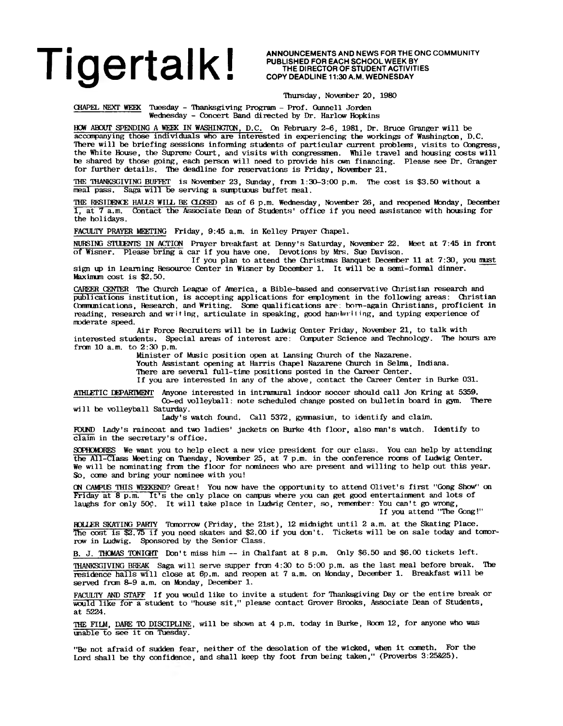PUBLISHED FOR EACH SCHOOL WEEK BY THE DIRECTOR OF STUDENT ACTIVITIES COPY DEADLINE 11:30 A.M. WEDNESDAY

Thursday, November 20, 1980

CHAPEL NEXT WEEK Tuesday - Thanksgiving Program - Prof. Gunnell Jorden Wednesday - Concert Band directed by Dr. Harlow Hopkins

HCW ABOOT SPENDING A WEEK IN WASHINGTON, D.C. On February 2-6, 1981, Dr. Bruce Granger will be accompanying those individuals who are interested in experiencing the workings of Washington, D.C. There will be briefing sessions informing students of particular current problems, visits to Congress, the White House, the Supreme Court, and visits with congressmen. While travel and housing costs will be shared by those going, each person will need to provide his own financing. Please see Dr. Granger for further details. The deadline for reservations is Friday, November 21.

THE THANKSGIVING BUFFET is November 23, Sunday, from  $1:30-3:00$  p.m. The cost is \$3.50 without a meal pass. Saga will be serving a surptuous buffet meal.

THE RESIDENCE HALLS WILL BE CLOSED as of 6 p.m. Wednesday, November 26, and reopened Monday, December 1, at 7 a.m. Contact the Associate Dean of Students' office if you need assistance with housing for the holidays.

FACULTY PRAYER MEETING Friday, 9:45 a.m. in Kelley Prayer Chapel.

NURSING STUCENTS IN ACTION Prayer breakfast at Denny's Saturday, November 22. Meet at 7:45 in front of Wisner. Please bring a car if you have one. Devotions by Mrs. Sue Davison.

If you plan to attend the Christmas Banquet Decerrber 11 at 7:30, you must sign up in Learning Resource Center in Wisner by December 1. It will be a semi-formal dinner. Maximum cost is \$2.50.

CAREER CENTER The Church League of America, a Bible-based and conservative Christian research and publications institution, is accepting applications for erployment in the following areas: Christian Gnnmunications, Research, and Writing. Some qualifications are: born-again Christians, proficient in reading, research and writing, articulate in speaking, good handwriting, and typing experience of moderate speed.

Air Force Recruiters will be in Ludwig Center Friday, November 21, to talk with interested students. Special areas of interest are: Computer Science and Technology. The hours are from 10 a.m. to 2:30 p.m.

Minister of Music position open at Lansing Church of the Nazarene.

Youth Assistant opening at Harris Chapel Nazarene Church in Selma, Indiana.

There are several full-time positions posted in the Career Center.

If you are interested in any of the above, contact the Career Center in Burke 031.

ATHLETIC DEPARTMENT Anyone interested in intramural indoor soccer should call Jon Kring at 5359. Co-ed volleyball: note scheduled change posted on bulletin board in gym. There

will be volleyball Saturday.

Lady's watch found. Call 5372, gymnasium, to identify and claim.

FOUND Lady's raincoat and two ladies' jackets on Burke 4th floor, also man's watch. Identify to claim in the secretary's office.

SOPHOMORES We want you to help elect a new vice president for our class. You can help by attending the All-Class Meeting on Tuesday, November 25, at 7 p.m. in the conference roans of Ludwig Center. We will be nominating from the floor for nominees who are present and willing to help out this year. So, cane and bring your nominee with you!

ON CAMPUS THIS WEEKEND? Great! You now have the opportunity to attend Olivet's first "Gong Show" on Friday at 8 p.m. It's the only place on canpus where you can get good entertainment and lots of laughs for only 50 $\phi$ . It will take place in Ludwig Center, so, remember: You can't go wrong, If you attend "The Gong!"

ROLLER SKATING PARTY Tomorrow (Friday, the 21st), 12 midnight until 2 a.m. at the Skating Place. The cost is \$2.75 if you need skates and \$2.00 if you don't. Tickets will be on sale today and tomorrow in Ludwig. Sponsored by the Senior Class.

B. J. THOMAS TONIGHT Don't miss him — in Chalfant at 8 p.m. Only \$6.50 and \$6.00 tickets left.

THANKSGIVING BREAK Saga will serve supper from 4:30 to 5:00 p.m. as the last meal before break. The residence halls will close at 6p.m. and reopen at 7 a.m. on Monday, December 1. Breakfast will be served from 8-9 a.m. on Monday, December 1.

FACULTY AND STAFF If you would like to invite a student for Thanksgiving Day or the entire break or would like for a student to "house sit," please contact Grover Brooks, Associate Dean of Students, at 5224.

THE FILM, DARE TO DISCIPLINE, will be shown at 4 p.m. today in Burke, Room *12,* for anyone who was unable to see it on Tuesday.

"Be not afraid of sudden fear, neither of the desolation of the wicked, when it cometh. For the Lord shall be thy confidence, and shall keep thy foot from being taken," (Proverbs 3:25&25).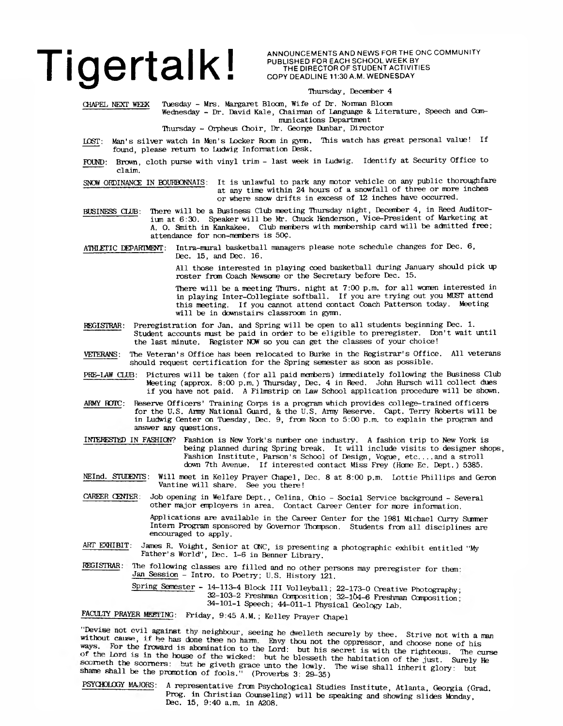## **Tigertalk I ANNOUNCEMENTS AND NEWS FOR THE ONC COMMUNITY**<br>
THE DIRECTOR OF STUDENT ACTIVITIES

**PUBLISHED FOR EACH SCHOOL WEEK BY THE DIRECTOR OF STUDENT ACTIVITIES COPY DEADLINE 11:30 A.M. W EDNESDAY**

#### **Thursday, December 4**

CHAPEL NEXT WEEK Tuesday - Mrs. Margaret Bloan, Wife of Dr. Norman Bloom Wednesday - Dr. David Kale, Chairman of Language & Literature, Speech and Communications Department

Thursday - Orpheus Choir, Dr. George Dunbar, Director

- LOST: Man's silver watch in Men's Locker Room in gyim. This watch has great personal value! If found, please return to Ludwig Information Desk.
- FOUND: Brown, cloth purse with vinyl trim last week in Ludwig. Identify at Security Office to claim.

SNOW ORDINANCE IN BOUKBONNAIS: It is unlawful to park any motor vehicle on any public thoroughfare at any time within 24 hours of a snowfall of three or more inches or where snow drifts in excess of 12 inches have occurred.

- BUSINESS CIJJB: There will be a Business Club meeting Thursday night, December 4, in Reed Auditorinn at 6:30. Speaker will be Mr. Chuck Henderson, Vice-President of Marketing at A. O. Smith in Kankakee. Club members with membership card will be admitted free; attendance for non-members is 50£.
- ATHLETIC DEPARTMENT: Intra-mural basketball managers please note schedule changes for Dec. 6, Dec. 15, and Dec. 16.

All those interested in playing coed basketball during January should pick up roster from Coach Newsome or the Secretary before Dec. 15.

There will be a meeting Thurs, night at 7:00 p.m. for all women interested in in playing Inter-Collegiate softball. If you are trying out you MUST attend this meeting. If you cannot attend contact Coach Patterson today. Meeting will be in downstairs classroom in gymn.

- REGISTRAR: Preregistration for Jan. and Spring will be open to all students beginning Dec. 1. Student accounts must be paid in order to be eligible to preregister. Don't wait until the last minute. Register NCW so you can get the classes of your choice!
- VETERANS: The Veteran's Office has been relocated to Burke in the Registrar's Office. All veterans should request certification for the Spring semester as soon as possible.
- PRE-LAW CLUB: Pictures will be taken (for all paid members) inmediately following the Business Club Meeting (approx. 8:00 p.m.) Thursday, Dec. 4 in Reed. John Hursch will collect dues if you have not paid. A Filmstrip on Law School application procedure will be shown.
- ARMY ROTC: Reserve Officers' Training Corps is a program which provides college-trained officers for the U.S. Army National Guard, & the U.S. Army Reserve. Capt. Terry Roberts will be in Ludwig Center on Tuesday, Dec. 9, from Noon to 5:00 p.m. to explain the program and answer any questions.
- INTERES'I'kD IN FASHION? Fashion is New York's nurrber one industry. A fashion trip to New York is being planned during Spring break. It will include visits to designer shops, Fashion Institute, Parson's School of Design, Vogue, etc....and a stroll down 7th Avenue. If interested contact Miss Frey (Home Ec. Dept.) 5385.
- NEInd. STUDENTS: Will meet in Kelley Prayer Chapel, Dec. 8 at 8:00 p.m. Lottie Phillips and Geron Vantine will share. See you there!
- CAREER CENIER: Job opening in Welfare Dept., Celina, Ohio Social Service background Several other major employers in area. Contact Career Center for more information.

Applications are available in the Career Center for the 1981 Michael Curry Sumner Intern Program sponsored by Governor Thompson. Students from all disciplines are encouraged to apply.

ART EXHIBIT: James R. Voight, Senior at ONC, is presenting a photographic exhibit entitled "My Father's World", Dec. 1-6 in Benner Library.

#### REGISTRAR. The following classes are filled and no other persons may preregister for them' Jan Session - Intro, to Poetry; U.S. History 121.

Spring Semester - 14-113-4 Block III Volleyball; 22-173-0 Creative Photography; 32-103-2 Freshman Composition; 32-lb4-6 Freshman Composition' 34-101-1 Speech; 44-011-1 Physical Geology Lab.

FACULTY PRAYER MEETING: Friday, 9:45 A.M.; Kelley Prayer Chapel

"Devise not evil against thy neighbour, seeing he dwelleth securely by thee. Strive not with a man without cause, if he has done thee no harm. Envy thou not the oppressor, and choose none of his ways. For the froward is abomination to the Lord: but his secret is with the righteous. The curse of the Lord is in the house of the wicked: but he blesseth the habitation of the just. Surely He scorneth the scorners: but he giveth grace unto the lowly. The wise shall inherit glory: but shame shall be the promotion of fools." (Proverbs 3: 29-35)

PSYCHOLOGY MAJORS: A representative from Psychological Studies Institute, Atlanta, Georgia (Grad. Prog, in Christian Counseling) will be speaking and showing slides Monday, Dec. 15, 9:40 a.m. in A208.